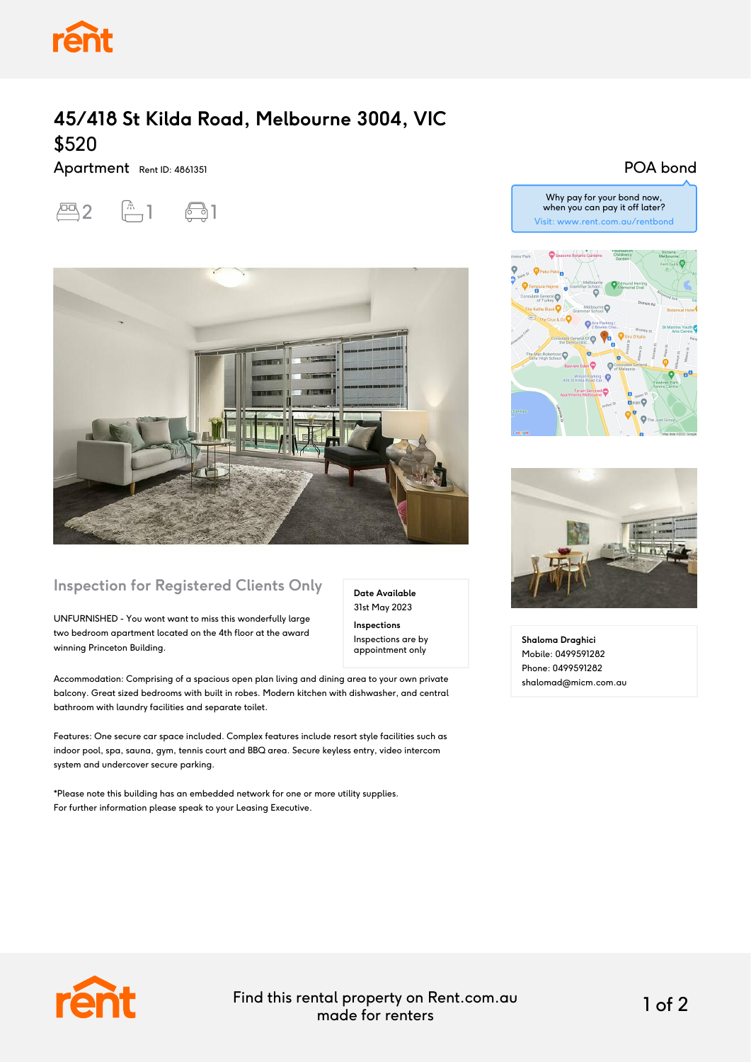

## **45/418 St Kilda Road, Melbourne 3004, VIC** \$520

Apartment Rent ID: 4861351





## **Inspection for Registered Clients Only**

UNFURNISHED - You wont want to miss this wonderfully large two bedroom apartment located on the 4th floor at the award winning Princeton Building.

Accommodation: Comprising of a spacious open plan living and dining area to your own private balcony. Great sized bedrooms with built in robes. Modern kitchen with dishwasher, and central bathroom with laundry facilities and separate toilet.

Features: One secure car space included. Complex features include resort style facilities such as indoor pool, spa, sauna, gym, tennis court and BBQ area. Secure keyless entry, video intercom system and undercover secure parking.

\*Please note this building has an embedded network for one or more utility supplies. For further information please speak to your Leasing Executive.

POA bond







**Shaloma Draghici** Mobile: 0499591282 Phone: 0499591282 shalomad@micm.com.au



Find this rental property on Rent.com.au made for renters 1 of 2

**Date Available** 31st May 2023 **Inspections** Inspections are by appointment only